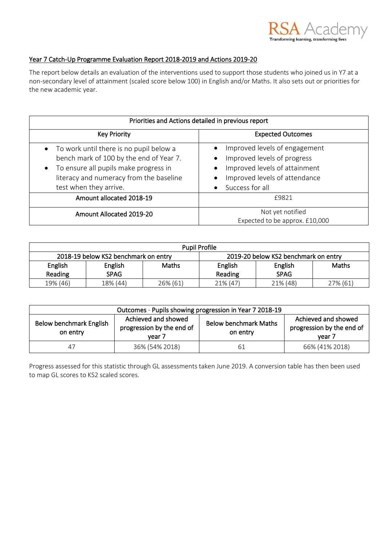

## Year 7 Catch-Up Programme Evaluation Report 2018-2019 and Actions 2019-20

The report below details an evaluation of the interventions used to support those students who joined us in Y7 at a non-secondary level of attainment (scaled score below 100) in English and/or Maths. It also sets out or priorities for the new academic year.

| Priorities and Actions detailed in previous report                                                                                                                                                   |                                                                                                                                                   |  |  |
|------------------------------------------------------------------------------------------------------------------------------------------------------------------------------------------------------|---------------------------------------------------------------------------------------------------------------------------------------------------|--|--|
| <b>Key Priority</b>                                                                                                                                                                                  | <b>Expected Outcomes</b>                                                                                                                          |  |  |
| • To work until there is no pupil below a<br>bench mark of 100 by the end of Year 7.<br>• To ensure all pupils make progress in<br>literacy and numeracy from the baseline<br>test when they arrive. | Improved levels of engagement<br>Improved levels of progress<br>Improved levels of attainment<br>Improved levels of attendance<br>Success for all |  |  |
| Amount allocated 2018-19                                                                                                                                                                             | £9821                                                                                                                                             |  |  |
| Amount Allocated 2019-20                                                                                                                                                                             | Not yet notified<br>Expected to be approx. £10,000                                                                                                |  |  |

| <b>Pupil Profile</b>                 |             |                                      |          |             |          |
|--------------------------------------|-------------|--------------------------------------|----------|-------------|----------|
| 2018-19 below KS2 benchmark on entry |             | 2019-20 below KS2 benchmark on entry |          |             |          |
| English                              | English     | <b>Maths</b>                         | English  | English     | Maths    |
| Reading                              | <b>SPAG</b> |                                      | Reading  | <b>SPAG</b> |          |
| 19% (46)                             | 18% (44)    | 26% (61)                             | 21% (47) | 21% (48)    | 27% (61) |

| Outcomes - Pupils showing progression in Year 7 2018-19                                           |                |                                          |                                                            |  |
|---------------------------------------------------------------------------------------------------|----------------|------------------------------------------|------------------------------------------------------------|--|
| Achieved and showed<br>Below benchmark English<br>progression by the end of<br>on entry<br>vear 7 |                | <b>Below benchmark Maths</b><br>on entry | Achieved and showed<br>progression by the end of<br>vear 7 |  |
| 47                                                                                                | 36% (54% 2018) | 61                                       | 66% (41% 2018)                                             |  |

Progress assessed for this statistic through GL assessments taken June 2019. A conversion table has then been used to map GL scores to KS2 scaled scores.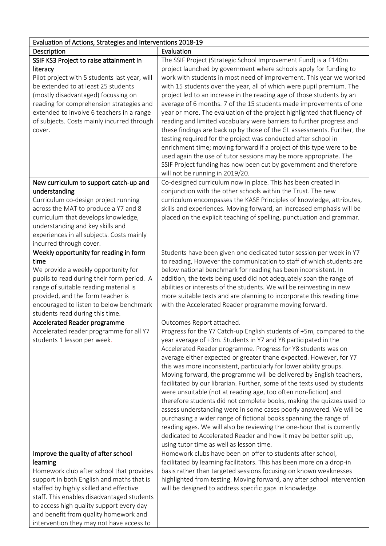| Evaluation of Actions, Strategies and Interventions 2018-19                                                                                                                                                                                                                                                                                                        |                                                                                                                                                                                                                                                                                                                                                                                                                                                                                                                                                                                                                                                                                                                                                                                                                                                                                                                                                                                                                            |  |
|--------------------------------------------------------------------------------------------------------------------------------------------------------------------------------------------------------------------------------------------------------------------------------------------------------------------------------------------------------------------|----------------------------------------------------------------------------------------------------------------------------------------------------------------------------------------------------------------------------------------------------------------------------------------------------------------------------------------------------------------------------------------------------------------------------------------------------------------------------------------------------------------------------------------------------------------------------------------------------------------------------------------------------------------------------------------------------------------------------------------------------------------------------------------------------------------------------------------------------------------------------------------------------------------------------------------------------------------------------------------------------------------------------|--|
| Description                                                                                                                                                                                                                                                                                                                                                        | Evaluation                                                                                                                                                                                                                                                                                                                                                                                                                                                                                                                                                                                                                                                                                                                                                                                                                                                                                                                                                                                                                 |  |
| SSIF KS3 Project to raise attainment in<br>literacy<br>Pilot project with 5 students last year, will<br>be extended to at least 25 students<br>(mostly disadvantaged) focussing on<br>reading for comprehension strategies and<br>extended to involve 6 teachers in a range                                                                                        | The SSIF Project (Strategic School Improvement Fund) is a £140m<br>project launched by government where schools apply for funding to<br>work with students in most need of improvement. This year we worked<br>with 15 students over the year, all of which were pupil premium. The<br>project led to an increase in the reading age of those students by an<br>average of 6 months. 7 of the 15 students made improvements of one<br>year or more. The evaluation of the project highlighted that fluency of                                                                                                                                                                                                                                                                                                                                                                                                                                                                                                              |  |
| of subjects. Costs mainly incurred through<br>cover.                                                                                                                                                                                                                                                                                                               | reading and limited vocabulary were barriers to further progress and<br>these findings are back up by those of the GL assessments. Further, the<br>testing required for the project was conducted after school in<br>enrichment time; moving forward if a project of this type were to be<br>used again the use of tutor sessions may be more appropriate. The<br>SSIF Project funding has now been cut by government and therefore<br>will not be running in 2019/20.                                                                                                                                                                                                                                                                                                                                                                                                                                                                                                                                                     |  |
| New curriculum to support catch-up and<br>understanding<br>Curriculum co-design project running<br>across the MAT to produce a Y7 and 8<br>curriculum that develops knowledge,<br>understanding and key skills and<br>experiences in all subjects. Costs mainly<br>incurred through cover.                                                                         | Co-designed curriculum now in place. This has been created in<br>conjunction with the other schools within the Trust. The new<br>curriculum encompasses the KASE Principles of knowledge, attributes,<br>skills and experiences. Moving forward, an increased emphasis will be<br>placed on the explicit teaching of spelling, punctuation and grammar.                                                                                                                                                                                                                                                                                                                                                                                                                                                                                                                                                                                                                                                                    |  |
| Weekly opportunity for reading in form<br>time<br>We provide a weekly opportunity for<br>pupils to read during their form period. A<br>range of suitable reading material is<br>provided, and the form teacher is<br>encouraged to listen to below benchmark<br>students read during this time.                                                                    | Students have been given one dedicated tutor session per week in Y7<br>to reading, However the communication to staff of which students are<br>below national benchmark for reading has been inconsistent. In<br>addition, the texts being used did not adequately span the range of<br>abilities or interests of the students. We will be reinvesting in new<br>more suitable texts and are planning to incorporate this reading time<br>with the Accelerated Reader programme moving forward.                                                                                                                                                                                                                                                                                                                                                                                                                                                                                                                            |  |
| Accelerated Reader programme<br>Accelerated reader programme for all Y7<br>students 1 lesson per week.                                                                                                                                                                                                                                                             | Outcomes Report attached.<br>Progress for the Y7 Catch-up English students of +5m, compared to the<br>year average of +3m. Students in Y7 and Y8 participated in the<br>Accelerated Reader programme. Progress for Y8 students was on<br>average either expected or greater thane expected. However, for Y7<br>this was more inconsistent, particularly for lower ability groups.<br>Moving forward, the programme will be delivered by English teachers,<br>facilitated by our librarian. Further, some of the texts used by students<br>were unsuitable (not at reading age, too often non-fiction) and<br>therefore students did not complete books, making the quizzes used to<br>assess understanding were in some cases poorly answered. We will be<br>purchasing a wider range of fictional books spanning the range of<br>reading ages. We will also be reviewing the one-hour that is currently<br>dedicated to Accelerated Reader and how it may be better split up,<br>using tutor time as well as lesson time. |  |
| Improve the quality of after school<br>learning<br>Homework club after school that provides<br>support in both English and maths that is<br>staffed by highly skilled and effective<br>staff. This enables disadvantaged students<br>to access high quality support every day<br>and benefit from quality homework and<br>intervention they may not have access to | Homework clubs have been on offer to students after school,<br>facilitated by learning facilitators. This has been more on a drop-in<br>basis rather than targeted sessions focusing on known weaknesses<br>highlighted from testing. Moving forward, any after school intervention<br>will be designed to address specific gaps in knowledge.                                                                                                                                                                                                                                                                                                                                                                                                                                                                                                                                                                                                                                                                             |  |